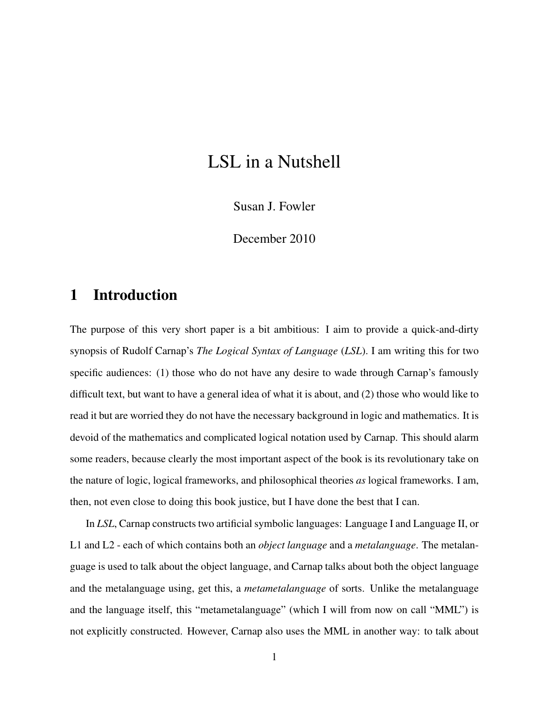# LSL in a Nutshell

Susan J. Fowler

December 2010

## 1 Introduction

The purpose of this very short paper is a bit ambitious: I aim to provide a quick-and-dirty synopsis of Rudolf Carnap's *The Logical Syntax of Language* (*LSL*). I am writing this for two specific audiences: (1) those who do not have any desire to wade through Carnap's famously difficult text, but want to have a general idea of what it is about, and (2) those who would like to read it but are worried they do not have the necessary background in logic and mathematics. It is devoid of the mathematics and complicated logical notation used by Carnap. This should alarm some readers, because clearly the most important aspect of the book is its revolutionary take on the nature of logic, logical frameworks, and philosophical theories *as* logical frameworks. I am, then, not even close to doing this book justice, but I have done the best that I can.

In *LSL*, Carnap constructs two artificial symbolic languages: Language I and Language II, or L1 and L2 - each of which contains both an *object language* and a *metalanguage*. The metalanguage is used to talk about the object language, and Carnap talks about both the object language and the metalanguage using, get this, a *metametalanguage* of sorts. Unlike the metalanguage and the language itself, this "metametalanguage" (which I will from now on call "MML") is not explicitly constructed. However, Carnap also uses the MML in another way: to talk about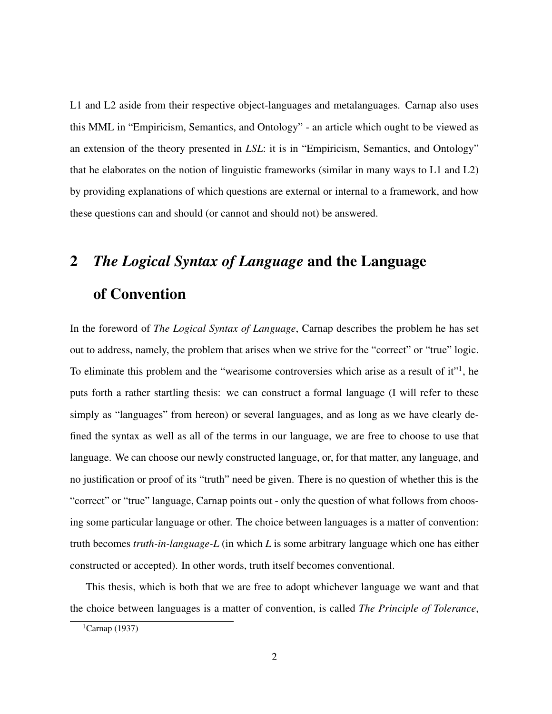L1 and L2 aside from their respective object-languages and metalanguages. Carnap also uses this MML in "Empiricism, Semantics, and Ontology" - an article which ought to be viewed as an extension of the theory presented in *LSL*: it is in "Empiricism, Semantics, and Ontology" that he elaborates on the notion of linguistic frameworks (similar in many ways to L1 and L2) by providing explanations of which questions are external or internal to a framework, and how these questions can and should (or cannot and should not) be answered.

# 2 *The Logical Syntax of Language* and the Language of Convention

In the foreword of *The Logical Syntax of Language*, Carnap describes the problem he has set out to address, namely, the problem that arises when we strive for the "correct" or "true" logic. To eliminate this problem and the "wearisome controversies which arise as a result of it"<sup>1</sup>, he puts forth a rather startling thesis: we can construct a formal language (I will refer to these simply as "languages" from hereon) or several languages, and as long as we have clearly defined the syntax as well as all of the terms in our language, we are free to choose to use that language. We can choose our newly constructed language, or, for that matter, any language, and no justification or proof of its "truth" need be given. There is no question of whether this is the "correct" or "true" language, Carnap points out - only the question of what follows from choosing some particular language or other. The choice between languages is a matter of convention: truth becomes *truth-in-language-L* (in which *L* is some arbitrary language which one has either constructed or accepted). In other words, truth itself becomes conventional.

This thesis, which is both that we are free to adopt whichever language we want and that the choice between languages is a matter of convention, is called *The Principle of Tolerance*,

 ${}^{1}$ Carnap (1937)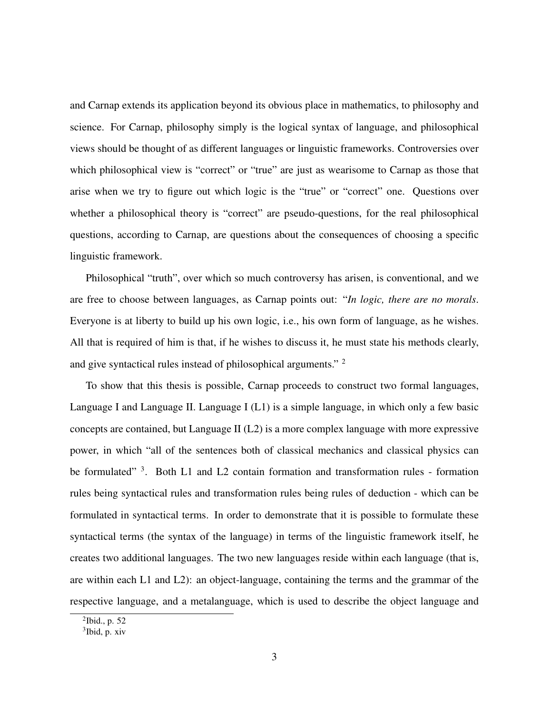and Carnap extends its application beyond its obvious place in mathematics, to philosophy and science. For Carnap, philosophy simply is the logical syntax of language, and philosophical views should be thought of as different languages or linguistic frameworks. Controversies over which philosophical view is "correct" or "true" are just as wearisome to Carnap as those that arise when we try to figure out which logic is the "true" or "correct" one. Questions over whether a philosophical theory is "correct" are pseudo-questions, for the real philosophical questions, according to Carnap, are questions about the consequences of choosing a specific linguistic framework.

Philosophical "truth", over which so much controversy has arisen, is conventional, and we are free to choose between languages, as Carnap points out: "*In logic, there are no morals*. Everyone is at liberty to build up his own logic, i.e., his own form of language, as he wishes. All that is required of him is that, if he wishes to discuss it, he must state his methods clearly, and give syntactical rules instead of philosophical arguments." <sup>2</sup>

To show that this thesis is possible, Carnap proceeds to construct two formal languages, Language I and Language II. Language I (L1) is a simple language, in which only a few basic concepts are contained, but Language II (L2) is a more complex language with more expressive power, in which "all of the sentences both of classical mechanics and classical physics can be formulated" <sup>3</sup>. Both L1 and L2 contain formation and transformation rules - formation rules being syntactical rules and transformation rules being rules of deduction - which can be formulated in syntactical terms. In order to demonstrate that it is possible to formulate these syntactical terms (the syntax of the language) in terms of the linguistic framework itself, he creates two additional languages. The two new languages reside within each language (that is, are within each L1 and L2): an object-language, containing the terms and the grammar of the respective language, and a metalanguage, which is used to describe the object language and

 $2$ Ibid., p. 52

<sup>&</sup>lt;sup>3</sup>Ibid, p. xiv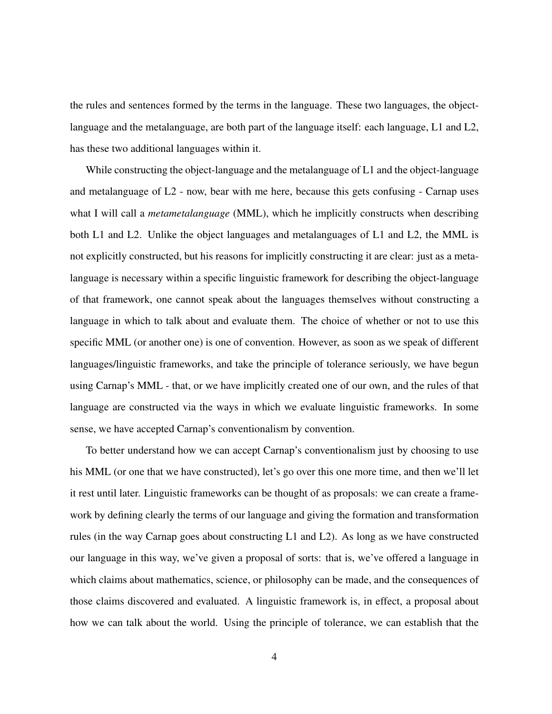the rules and sentences formed by the terms in the language. These two languages, the objectlanguage and the metalanguage, are both part of the language itself: each language, L1 and L2, has these two additional languages within it.

While constructing the object-language and the metalanguage of L1 and the object-language and metalanguage of L2 - now, bear with me here, because this gets confusing - Carnap uses what I will call a *metametalanguage* (MML), which he implicitly constructs when describing both L1 and L2. Unlike the object languages and metalanguages of L1 and L2, the MML is not explicitly constructed, but his reasons for implicitly constructing it are clear: just as a metalanguage is necessary within a specific linguistic framework for describing the object-language of that framework, one cannot speak about the languages themselves without constructing a language in which to talk about and evaluate them. The choice of whether or not to use this specific MML (or another one) is one of convention. However, as soon as we speak of different languages/linguistic frameworks, and take the principle of tolerance seriously, we have begun using Carnap's MML - that, or we have implicitly created one of our own, and the rules of that language are constructed via the ways in which we evaluate linguistic frameworks. In some sense, we have accepted Carnap's conventionalism by convention.

To better understand how we can accept Carnap's conventionalism just by choosing to use his MML (or one that we have constructed), let's go over this one more time, and then we'll let it rest until later. Linguistic frameworks can be thought of as proposals: we can create a framework by defining clearly the terms of our language and giving the formation and transformation rules (in the way Carnap goes about constructing L1 and L2). As long as we have constructed our language in this way, we've given a proposal of sorts: that is, we've offered a language in which claims about mathematics, science, or philosophy can be made, and the consequences of those claims discovered and evaluated. A linguistic framework is, in effect, a proposal about how we can talk about the world. Using the principle of tolerance, we can establish that the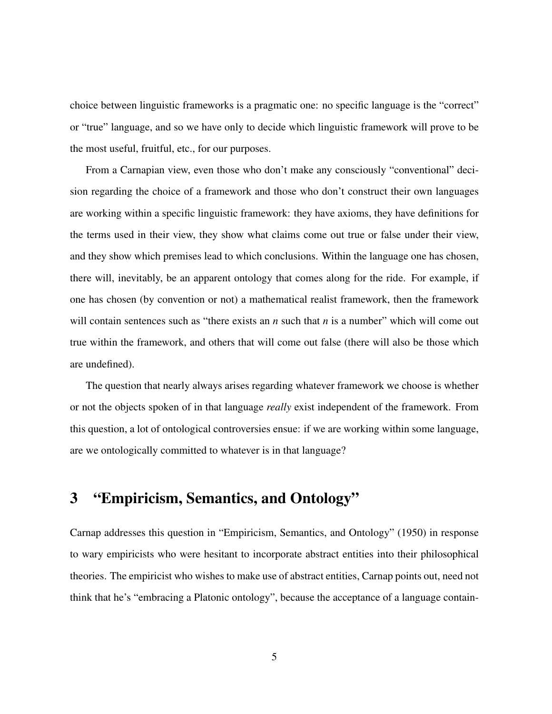choice between linguistic frameworks is a pragmatic one: no specific language is the "correct" or "true" language, and so we have only to decide which linguistic framework will prove to be the most useful, fruitful, etc., for our purposes.

From a Carnapian view, even those who don't make any consciously "conventional" decision regarding the choice of a framework and those who don't construct their own languages are working within a specific linguistic framework: they have axioms, they have definitions for the terms used in their view, they show what claims come out true or false under their view, and they show which premises lead to which conclusions. Within the language one has chosen, there will, inevitably, be an apparent ontology that comes along for the ride. For example, if one has chosen (by convention or not) a mathematical realist framework, then the framework will contain sentences such as "there exists an *n* such that *n* is a number" which will come out true within the framework, and others that will come out false (there will also be those which are undefined).

The question that nearly always arises regarding whatever framework we choose is whether or not the objects spoken of in that language *really* exist independent of the framework. From this question, a lot of ontological controversies ensue: if we are working within some language, are we ontologically committed to whatever is in that language?

### 3 "Empiricism, Semantics, and Ontology"

Carnap addresses this question in "Empiricism, Semantics, and Ontology" (1950) in response to wary empiricists who were hesitant to incorporate abstract entities into their philosophical theories. The empiricist who wishes to make use of abstract entities, Carnap points out, need not think that he's "embracing a Platonic ontology", because the acceptance of a language contain-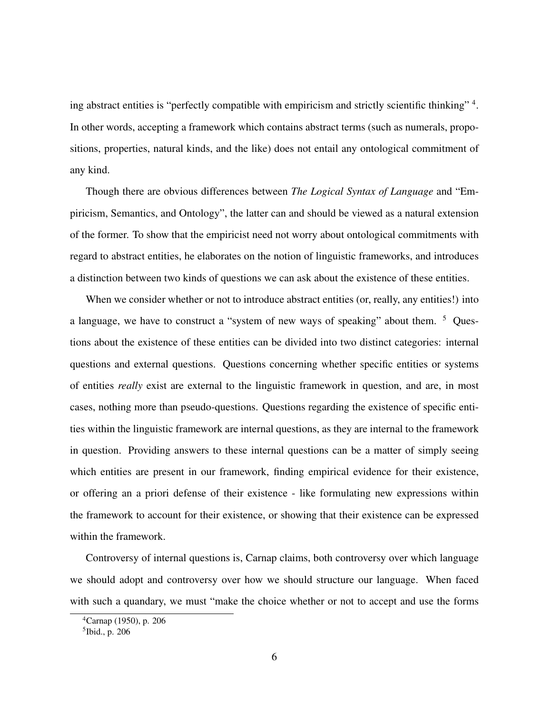ing abstract entities is "perfectly compatible with empiricism and strictly scientific thinking" 4. In other words, accepting a framework which contains abstract terms (such as numerals, propositions, properties, natural kinds, and the like) does not entail any ontological commitment of any kind.

Though there are obvious differences between *The Logical Syntax of Language* and "Empiricism, Semantics, and Ontology", the latter can and should be viewed as a natural extension of the former. To show that the empiricist need not worry about ontological commitments with regard to abstract entities, he elaborates on the notion of linguistic frameworks, and introduces a distinction between two kinds of questions we can ask about the existence of these entities.

When we consider whether or not to introduce abstract entities (or, really, any entities!) into a language, we have to construct a "system of new ways of speaking" about them. <sup>5</sup> Ouestions about the existence of these entities can be divided into two distinct categories: internal questions and external questions. Questions concerning whether specific entities or systems of entities *really* exist are external to the linguistic framework in question, and are, in most cases, nothing more than pseudo-questions. Questions regarding the existence of specific entities within the linguistic framework are internal questions, as they are internal to the framework in question. Providing answers to these internal questions can be a matter of simply seeing which entities are present in our framework, finding empirical evidence for their existence, or offering an a priori defense of their existence - like formulating new expressions within the framework to account for their existence, or showing that their existence can be expressed within the framework.

Controversy of internal questions is, Carnap claims, both controversy over which language we should adopt and controversy over how we should structure our language. When faced with such a quandary, we must "make the choice whether or not to accept and use the forms

<sup>4</sup>Carnap (1950), p. 206

<sup>5</sup> Ibid., p. 206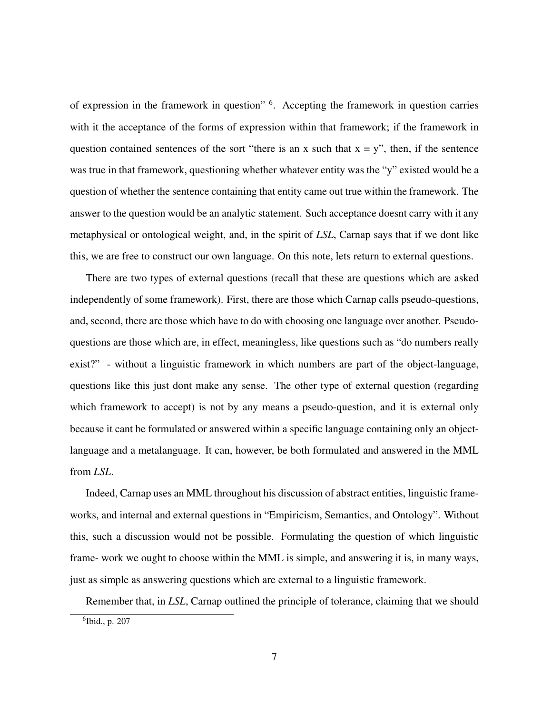of expression in the framework in question" <sup>6</sup>. Accepting the framework in question carries with it the acceptance of the forms of expression within that framework; if the framework in question contained sentences of the sort "there is an x such that  $x = y$ ", then, if the sentence was true in that framework, questioning whether whatever entity was the "y" existed would be a question of whether the sentence containing that entity came out true within the framework. The answer to the question would be an analytic statement. Such acceptance doesnt carry with it any metaphysical or ontological weight, and, in the spirit of *LSL*, Carnap says that if we dont like this, we are free to construct our own language. On this note, lets return to external questions.

There are two types of external questions (recall that these are questions which are asked independently of some framework). First, there are those which Carnap calls pseudo-questions, and, second, there are those which have to do with choosing one language over another. Pseudoquestions are those which are, in effect, meaningless, like questions such as "do numbers really exist?" - without a linguistic framework in which numbers are part of the object-language, questions like this just dont make any sense. The other type of external question (regarding which framework to accept) is not by any means a pseudo-question, and it is external only because it cant be formulated or answered within a specific language containing only an objectlanguage and a metalanguage. It can, however, be both formulated and answered in the MML from *LSL*.

Indeed, Carnap uses an MML throughout his discussion of abstract entities, linguistic frameworks, and internal and external questions in "Empiricism, Semantics, and Ontology". Without this, such a discussion would not be possible. Formulating the question of which linguistic frame- work we ought to choose within the MML is simple, and answering it is, in many ways, just as simple as answering questions which are external to a linguistic framework.

Remember that, in *LSL*, Carnap outlined the principle of tolerance, claiming that we should

<sup>6</sup> Ibid., p. 207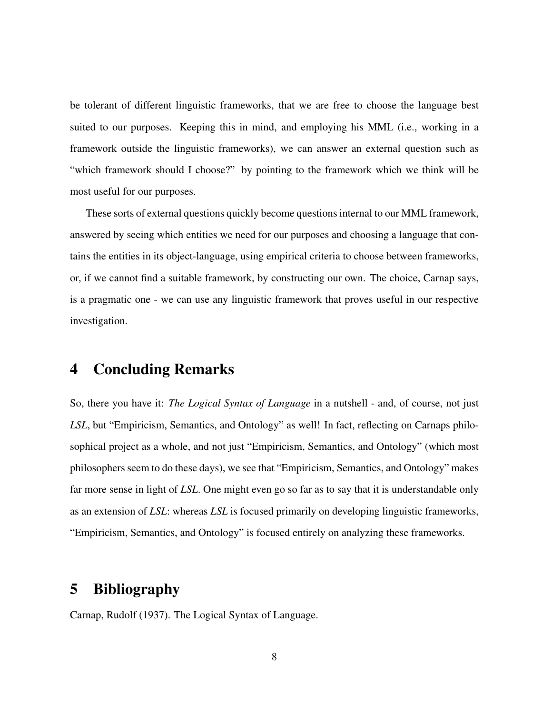be tolerant of different linguistic frameworks, that we are free to choose the language best suited to our purposes. Keeping this in mind, and employing his MML (i.e., working in a framework outside the linguistic frameworks), we can answer an external question such as "which framework should I choose?" by pointing to the framework which we think will be most useful for our purposes.

These sorts of external questions quickly become questions internal to our MML framework, answered by seeing which entities we need for our purposes and choosing a language that contains the entities in its object-language, using empirical criteria to choose between frameworks, or, if we cannot find a suitable framework, by constructing our own. The choice, Carnap says, is a pragmatic one - we can use any linguistic framework that proves useful in our respective investigation.

#### 4 Concluding Remarks

So, there you have it: *The Logical Syntax of Language* in a nutshell - and, of course, not just *LSL*, but "Empiricism, Semantics, and Ontology" as well! In fact, reflecting on Carnaps philosophical project as a whole, and not just "Empiricism, Semantics, and Ontology" (which most philosophers seem to do these days), we see that "Empiricism, Semantics, and Ontology" makes far more sense in light of *LSL*. One might even go so far as to say that it is understandable only as an extension of *LSL*: whereas *LSL* is focused primarily on developing linguistic frameworks, "Empiricism, Semantics, and Ontology" is focused entirely on analyzing these frameworks.

#### 5 Bibliography

Carnap, Rudolf (1937). The Logical Syntax of Language.